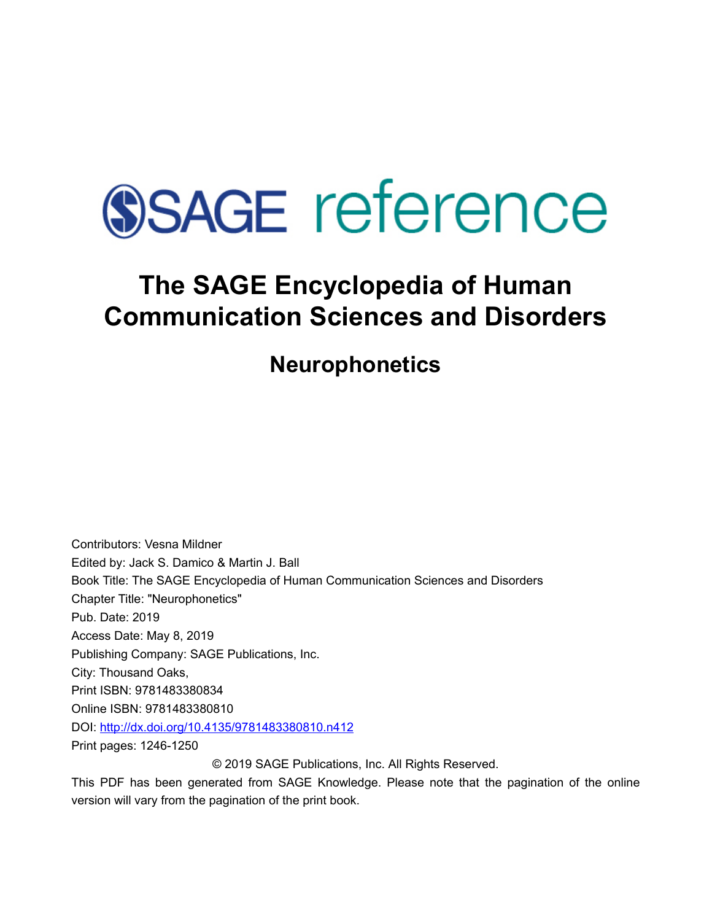

# **The SAGE Encyclopedia of Human Communication Sciences and Disorders**

**Neurophonetics** 

Contributors: Vesna Mildner Edited by: [Jack S. Damico](javascript:void(0);) & [Martin J. Ball](javascript:void(0);)  Book Title: The SAGE Encyclopedia of Human Communication Sciences and Disorders Chapter Title: "Neurophonetics" Pub. Date: 2019 Access Date: May 8, 2019 Publishing Company: SAGE Publications, Inc. City: Thousand Oaks, Print ISBN: 9781483380834 Online ISBN: 9781483380810 DOI: <http://dx.doi.org/10.4135/9781483380810.n412> Print pages: 1246-1250 © 2019 SAGE Publications, Inc. All Rights Reserved.

This PDF has been generated from SAGE Knowledge. Please note that the pagination of the online version will vary from the pagination of the print book.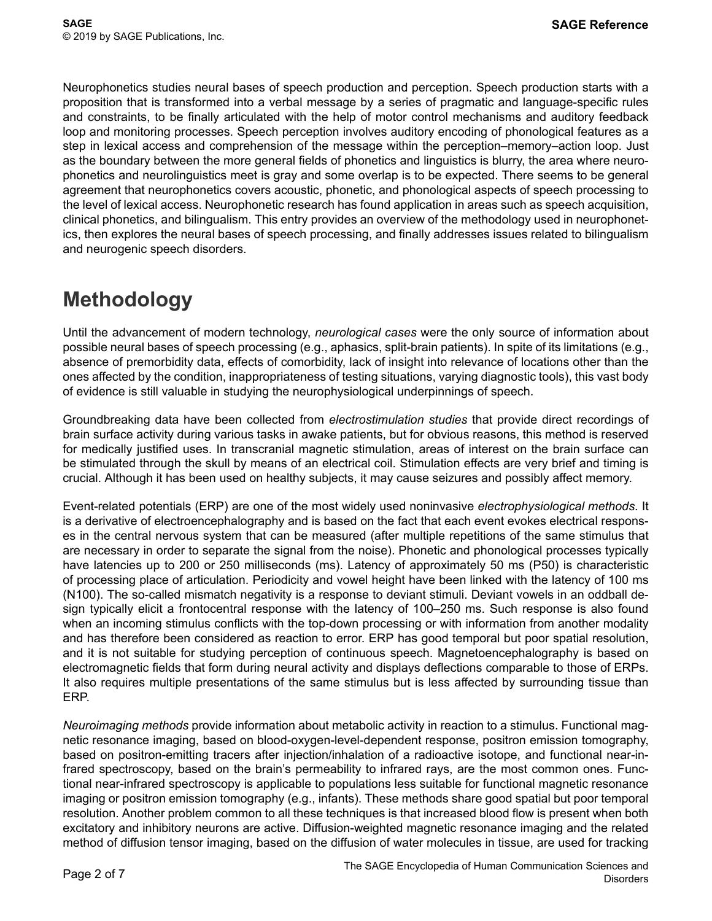Neurophonetics studies neural bases of speech production and perception. Speech production starts with a proposition that is transformed into a verbal message by a series of pragmatic and language-specific rules and constraints, to be finally articulated with the help of motor control mechanisms and auditory feedback loop and monitoring processes. Speech perception involves auditory encoding of phonological features as a step in lexical access and comprehension of the message within the perception–memory–action loop. Just as the boundary between the more general fields of phonetics and linguistics is blurry, the area where neurophonetics and neurolinguistics meet is gray and some overlap is to be expected. There seems to be general agreement that neurophonetics covers acoustic, phonetic, and phonological aspects of speech processing to the level of lexical access. Neurophonetic research has found application in areas such as speech acquisition, clinical phonetics, and bilingualism. This entry provides an overview of the methodology used in neurophonetics, then explores the neural bases of speech processing, and finally addresses issues related to bilingualism and neurogenic speech disorders.

### **Methodology**

Until the advancement of modern technology, *neurological cases* were the only source of information about possible neural bases of speech processing (e.g., aphasics, split-brain patients). In spite of its limitations (e.g., absence of premorbidity data, effects of comorbidity, lack of insight into relevance of locations other than the ones affected by the condition, inappropriateness of testing situations, varying diagnostic tools), this vast body of evidence is still valuable in studying the neurophysiological underpinnings of speech.

Groundbreaking data have been collected from *electrostimulation studies* that provide direct recordings of brain surface activity during various tasks in awake patients, but for obvious reasons, this method is reserved for medically justified uses. In transcranial magnetic stimulation, areas of interest on the brain surface can be stimulated through the skull by means of an electrical coil. Stimulation effects are very brief and timing is crucial. Although it has been used on healthy subjects, it may cause seizures and possibly affect memory.

Event-related potentials (ERP) are one of the most widely used noninvasive *electrophysiological methods*. It is a derivative of electroencephalography and is based on the fact that each event evokes electrical responses in the central nervous system that can be measured (after multiple repetitions of the same stimulus that are necessary in order to separate the signal from the noise). Phonetic and phonological processes typically have latencies up to 200 or 250 milliseconds (ms). Latency of approximately 50 ms (P50) is characteristic of processing place of articulation. Periodicity and vowel height have been linked with the latency of 100 ms (N100). The so-called mismatch negativity is a response to deviant stimuli. Deviant vowels in an oddball design typically elicit a frontocentral response with the latency of 100–250 ms. Such response is also found when an incoming stimulus conflicts with the top-down processing or with information from another modality and has therefore been considered as reaction to error. ERP has good temporal but poor spatial resolution, and it is not suitable for studying perception of continuous speech. Magnetoencephalography is based on electromagnetic fields that form during neural activity and displays deflections comparable to those of ERPs. It also requires multiple presentations of the same stimulus but is less affected by surrounding tissue than ERP.

*Neuroimaging methods* provide information about metabolic activity in reaction to a stimulus. Functional magnetic resonance imaging, based on blood-oxygen-level-dependent response, positron emission tomography, based on positron-emitting tracers after injection/inhalation of a radioactive isotope, and functional near-infrared spectroscopy, based on the brain's permeability to infrared rays, are the most common ones. Functional near-infrared spectroscopy is applicable to populations less suitable for functional magnetic resonance imaging or positron emission tomography (e.g., infants). These methods share good spatial but poor temporal resolution. Another problem common to all these techniques is that increased blood flow is present when both excitatory and inhibitory neurons are active. Diffusion-weighted magnetic resonance imaging and the related method of diffusion tensor imaging, based on the diffusion of water molecules in tissue, are used for tracking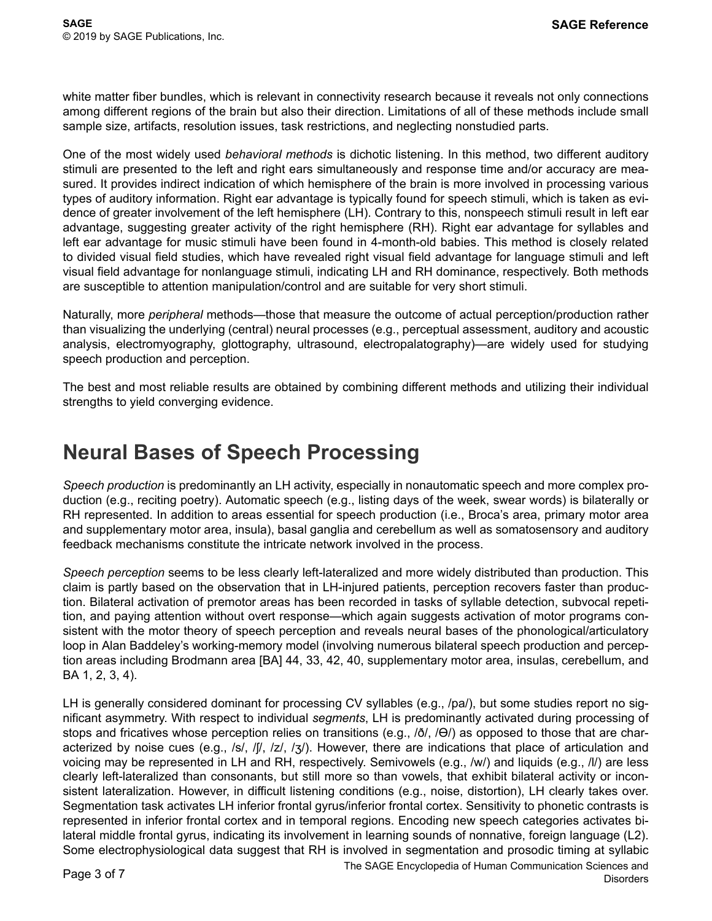white matter fiber bundles, which is relevant in connectivity research because it reveals not only connections among different regions of the brain but also their direction. Limitations of all of these methods include small sample size, artifacts, resolution issues, task restrictions, and neglecting nonstudied parts.

One of the most widely used *behavioral methods* is dichotic listening. In this method, two different auditory stimuli are presented to the left and right ears simultaneously and response time and/or accuracy are measured. It provides indirect indication of which hemisphere of the brain is more involved in processing various types of auditory information. Right ear advantage is typically found for speech stimuli, which is taken as evidence of greater involvement of the left hemisphere (LH). Contrary to this, nonspeech stimuli result in left ear advantage, suggesting greater activity of the right hemisphere (RH). Right ear advantage for syllables and left ear advantage for music stimuli have been found in 4-month-old babies. This method is closely related to divided visual field studies, which have revealed right visual field advantage for language stimuli and left visual field advantage for nonlanguage stimuli, indicating LH and RH dominance, respectively. Both methods are susceptible to attention manipulation/control and are suitable for very short stimuli.

Naturally, more *peripheral* methods—those that measure the outcome of actual perception/production rather than visualizing the underlying (central) neural processes (e.g., perceptual assessment, auditory and acoustic analysis, electromyography, glottography, ultrasound, electropalatography)—are widely used for studying speech production and perception.

The best and most reliable results are obtained by combining different methods and utilizing their individual strengths to yield converging evidence.

#### **Neural Bases of Speech Processing**

*Speech production* is predominantly an LH activity, especially in nonautomatic speech and more complex production (e.g., reciting poetry). Automatic speech (e.g., listing days of the week, swear words) is bilaterally or RH represented. In addition to areas essential for speech production (i.e., Broca's area, primary motor area and supplementary motor area, insula), basal ganglia and cerebellum as well as somatosensory and auditory feedback mechanisms constitute the intricate network involved in the process.

*Speech perception* seems to be less clearly left-lateralized and more widely distributed than production. This claim is partly based on the observation that in LH-injured patients, perception recovers faster than production. Bilateral activation of premotor areas has been recorded in tasks of syllable detection, subvocal repetition, and paying attention without overt response—which again suggests activation of motor programs consistent with the motor theory of speech perception and reveals neural bases of the phonological/articulatory loop in Alan Baddeley's working-memory model (involving numerous bilateral speech production and perception areas including Brodmann area [BA] 44, 33, 42, 40, supplementary motor area, insulas, cerebellum, and BA 1, 2, 3, 4).

LH is generally considered dominant for processing CV syllables (e.g., /pa/), but some studies report no significant asymmetry. With respect to individual *segments*, LH is predominantly activated during processing of stops and fricatives whose perception relies on transitions (e.g.,  $/\delta$ ,  $/|\Theta\rangle$ ) as opposed to those that are characterized by noise cues (e.g., /s/, /ʃ/, /z/, /ʒ/). However, there are indications that place of articulation and voicing may be represented in LH and RH, respectively. Semivowels (e.g., /w/) and liquids (e.g., /l/) are less clearly left-lateralized than consonants, but still more so than vowels, that exhibit bilateral activity or inconsistent lateralization. However, in difficult listening conditions (e.g., noise, distortion), LH clearly takes over. Segmentation task activates LH inferior frontal gyrus/inferior frontal cortex. Sensitivity to phonetic contrasts is represented in inferior frontal cortex and in temporal regions. Encoding new speech categories activates bilateral middle frontal gyrus, indicating its involvement in learning sounds of nonnative, foreign language (L2). Some electrophysiological data suggest that RH is involved in segmentation and prosodic timing at syllabic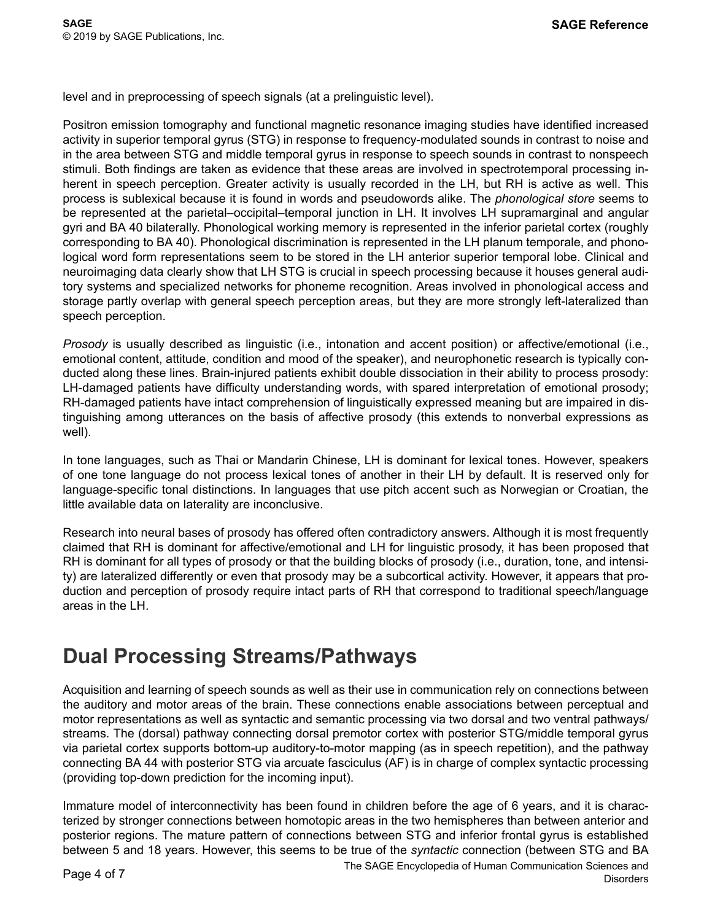level and in preprocessing of speech signals (at a prelinguistic level).

Positron emission tomography and functional magnetic resonance imaging studies have identified increased activity in superior temporal gyrus (STG) in response to frequency-modulated sounds in contrast to noise and in the area between STG and middle temporal gyrus in response to speech sounds in contrast to nonspeech stimuli. Both findings are taken as evidence that these areas are involved in spectrotemporal processing inherent in speech perception. Greater activity is usually recorded in the LH, but RH is active as well. This process is sublexical because it is found in words and pseudowords alike. The *phonological store* seems to be represented at the parietal–occipital–temporal junction in LH. It involves LH supramarginal and angular gyri and BA 40 bilaterally. Phonological working memory is represented in the inferior parietal cortex (roughly corresponding to BA 40). Phonological discrimination is represented in the LH planum temporale, and phonological word form representations seem to be stored in the LH anterior superior temporal lobe. Clinical and neuroimaging data clearly show that LH STG is crucial in speech processing because it houses general auditory systems and specialized networks for phoneme recognition. Areas involved in phonological access and storage partly overlap with general speech perception areas, but they are more strongly left-lateralized than speech perception.

*Prosody* is usually described as linguistic (i.e., intonation and accent position) or affective/emotional (i.e., emotional content, attitude, condition and mood of the speaker), and neurophonetic research is typically conducted along these lines. Brain-injured patients exhibit double dissociation in their ability to process prosody: LH-damaged patients have difficulty understanding words, with spared interpretation of emotional prosody; RH-damaged patients have intact comprehension of linguistically expressed meaning but are impaired in distinguishing among utterances on the basis of affective prosody (this extends to nonverbal expressions as well).

In tone languages, such as Thai or Mandarin Chinese, LH is dominant for lexical tones. However, speakers of one tone language do not process lexical tones of another in their LH by default. It is reserved only for language-specific tonal distinctions. In languages that use pitch accent such as Norwegian or Croatian, the little available data on laterality are inconclusive.

Research into neural bases of prosody has offered often contradictory answers. Although it is most frequently claimed that RH is dominant for affective/emotional and LH for linguistic prosody, it has been proposed that RH is dominant for all types of prosody or that the building blocks of prosody (i.e., duration, tone, and intensity) are lateralized differently or even that prosody may be a subcortical activity. However, it appears that production and perception of prosody require intact parts of RH that correspond to traditional speech/language areas in the LH.

# **Dual Processing Streams/Pathways**

Acquisition and learning of speech sounds as well as their use in communication rely on connections between the auditory and motor areas of the brain. These connections enable associations between perceptual and motor representations as well as syntactic and semantic processing via two dorsal and two ventral pathways/ streams. The (dorsal) pathway connecting dorsal premotor cortex with posterior STG/middle temporal gyrus via parietal cortex supports bottom-up auditory-to-motor mapping (as in speech repetition), and the pathway connecting BA 44 with posterior STG via arcuate fasciculus (AF) is in charge of complex syntactic processing (providing top-down prediction for the incoming input).

Immature model of interconnectivity has been found in children before the age of 6 years, and it is characterized by stronger connections between homotopic areas in the two hemispheres than between anterior and posterior regions. The mature pattern of connections between STG and inferior frontal gyrus is established between 5 and 18 years. However, this seems to be true of the *syntactic* connection (between STG and BA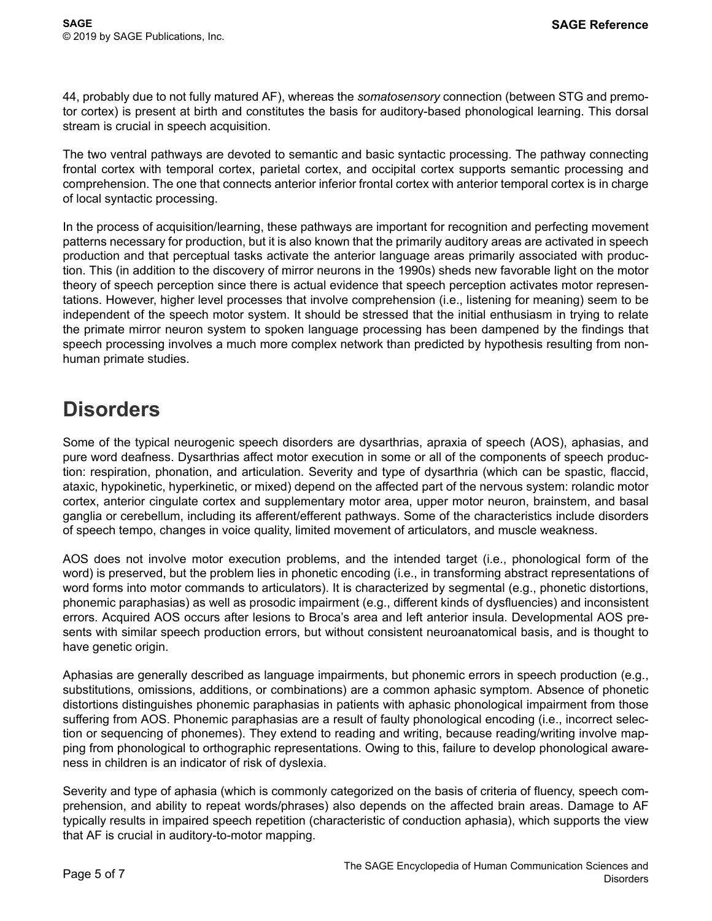44, probably due to not fully matured AF), whereas the *somatosensory* connection (between STG and premotor cortex) is present at birth and constitutes the basis for auditory-based phonological learning. This dorsal stream is crucial in speech acquisition.

The two ventral pathways are devoted to semantic and basic syntactic processing. The pathway connecting frontal cortex with temporal cortex, parietal cortex, and occipital cortex supports semantic processing and comprehension. The one that connects anterior inferior frontal cortex with anterior temporal cortex is in charge of local syntactic processing.

In the process of acquisition/learning, these pathways are important for recognition and perfecting movement patterns necessary for production, but it is also known that the primarily auditory areas are activated in speech production and that perceptual tasks activate the anterior language areas primarily associated with production. This (in addition to the discovery of mirror neurons in the 1990s) sheds new favorable light on the motor theory of speech perception since there is actual evidence that speech perception activates motor representations. However, higher level processes that involve comprehension (i.e., listening for meaning) seem to be independent of the speech motor system. It should be stressed that the initial enthusiasm in trying to relate the primate mirror neuron system to spoken language processing has been dampened by the findings that speech processing involves a much more complex network than predicted by hypothesis resulting from nonhuman primate studies.

# **Disorders**

Some of the typical neurogenic speech disorders are dysarthrias, apraxia of speech (AOS), aphasias, and pure word deafness. Dysarthrias affect motor execution in some or all of the components of speech production: respiration, phonation, and articulation. Severity and type of dysarthria (which can be spastic, flaccid, ataxic, hypokinetic, hyperkinetic, or mixed) depend on the affected part of the nervous system: rolandic motor cortex, anterior cingulate cortex and supplementary motor area, upper motor neuron, brainstem, and basal ganglia or cerebellum, including its afferent/efferent pathways. Some of the characteristics include disorders of speech tempo, changes in voice quality, limited movement of articulators, and muscle weakness.

AOS does not involve motor execution problems, and the intended target (i.e., phonological form of the word) is preserved, but the problem lies in phonetic encoding (i.e., in transforming abstract representations of word forms into motor commands to articulators). It is characterized by segmental (e.g., phonetic distortions, phonemic paraphasias) as well as prosodic impairment (e.g., different kinds of dysfluencies) and inconsistent errors. Acquired AOS occurs after lesions to Broca's area and left anterior insula. Developmental AOS presents with similar speech production errors, but without consistent neuroanatomical basis, and is thought to have genetic origin.

Aphasias are generally described as language impairments, but phonemic errors in speech production (e.g., substitutions, omissions, additions, or combinations) are a common aphasic symptom. Absence of phonetic distortions distinguishes phonemic paraphasias in patients with aphasic phonological impairment from those suffering from AOS. Phonemic paraphasias are a result of faulty phonological encoding (i.e., incorrect selection or sequencing of phonemes). They extend to reading and writing, because reading/writing involve mapping from phonological to orthographic representations. Owing to this, failure to develop phonological awareness in children is an indicator of risk of dyslexia.

Severity and type of aphasia (which is commonly categorized on the basis of criteria of fluency, speech comprehension, and ability to repeat words/phrases) also depends on the affected brain areas. Damage to AF typically results in impaired speech repetition (characteristic of conduction aphasia), which supports the view that AF is crucial in auditory-to-motor mapping.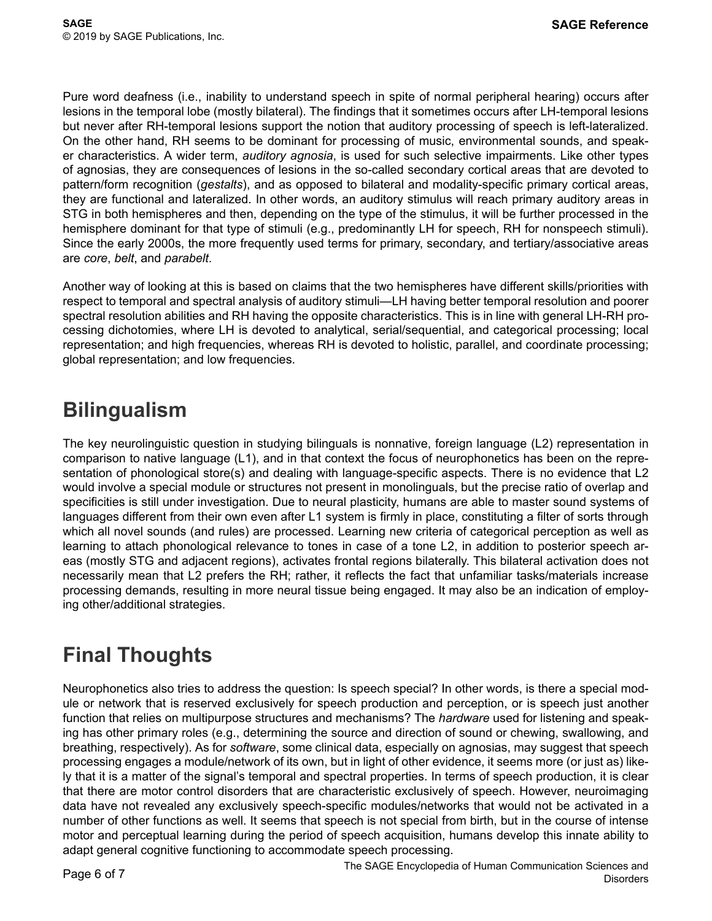Pure word deafness (i.e., inability to understand speech in spite of normal peripheral hearing) occurs after lesions in the temporal lobe (mostly bilateral). The findings that it sometimes occurs after LH-temporal lesions but never after RH-temporal lesions support the notion that auditory processing of speech is left-lateralized. On the other hand, RH seems to be dominant for processing of music, environmental sounds, and speaker characteristics. A wider term, *auditory agnosia*, is used for such selective impairments. Like other types of agnosias, they are consequences of lesions in the so-called secondary cortical areas that are devoted to pattern/form recognition (*gestalts*), and as opposed to bilateral and modality-specific primary cortical areas, they are functional and lateralized. In other words, an auditory stimulus will reach primary auditory areas in STG in both hemispheres and then, depending on the type of the stimulus, it will be further processed in the hemisphere dominant for that type of stimuli (e.g., predominantly LH for speech, RH for nonspeech stimuli). Since the early 2000s, the more frequently used terms for primary, secondary, and tertiary/associative areas are *core*, *belt*, and *parabelt*.

Another way of looking at this is based on claims that the two hemispheres have different skills/priorities with respect to temporal and spectral analysis of auditory stimuli—LH having better temporal resolution and poorer spectral resolution abilities and RH having the opposite characteristics. This is in line with general LH-RH processing dichotomies, where LH is devoted to analytical, serial/sequential, and categorical processing; local representation; and high frequencies, whereas RH is devoted to holistic, parallel, and coordinate processing; global representation; and low frequencies.

### **Bilingualism**

The key neurolinguistic question in studying bilinguals is nonnative, foreign language (L2) representation in comparison to native language (L1), and in that context the focus of neurophonetics has been on the representation of phonological store(s) and dealing with language-specific aspects. There is no evidence that L2 would involve a special module or structures not present in monolinguals, but the precise ratio of overlap and specificities is still under investigation. Due to neural plasticity, humans are able to master sound systems of languages different from their own even after L1 system is firmly in place, constituting a filter of sorts through which all novel sounds (and rules) are processed. Learning new criteria of categorical perception as well as learning to attach phonological relevance to tones in case of a tone L2, in addition to posterior speech areas (mostly STG and adjacent regions), activates frontal regions bilaterally. This bilateral activation does not necessarily mean that L2 prefers the RH; rather, it reflects the fact that unfamiliar tasks/materials increase processing demands, resulting in more neural tissue being engaged. It may also be an indication of employing other/additional strategies.

# **Final Thoughts**

Neurophonetics also tries to address the question: Is speech special? In other words, is there a special module or network that is reserved exclusively for speech production and perception, or is speech just another function that relies on multipurpose structures and mechanisms? The *hardware* used for listening and speaking has other primary roles (e.g., determining the source and direction of sound or chewing, swallowing, and breathing, respectively). As for *software*, some clinical data, especially on agnosias, may suggest that speech processing engages a module/network of its own, but in light of other evidence, it seems more (or just as) likely that it is a matter of the signal's temporal and spectral properties. In terms of speech production, it is clear that there are motor control disorders that are characteristic exclusively of speech. However, neuroimaging data have not revealed any exclusively speech-specific modules/networks that would not be activated in a number of other functions as well. It seems that speech is not special from birth, but in the course of intense motor and perceptual learning during the period of speech acquisition, humans develop this innate ability to adapt general cognitive functioning to accommodate speech processing.